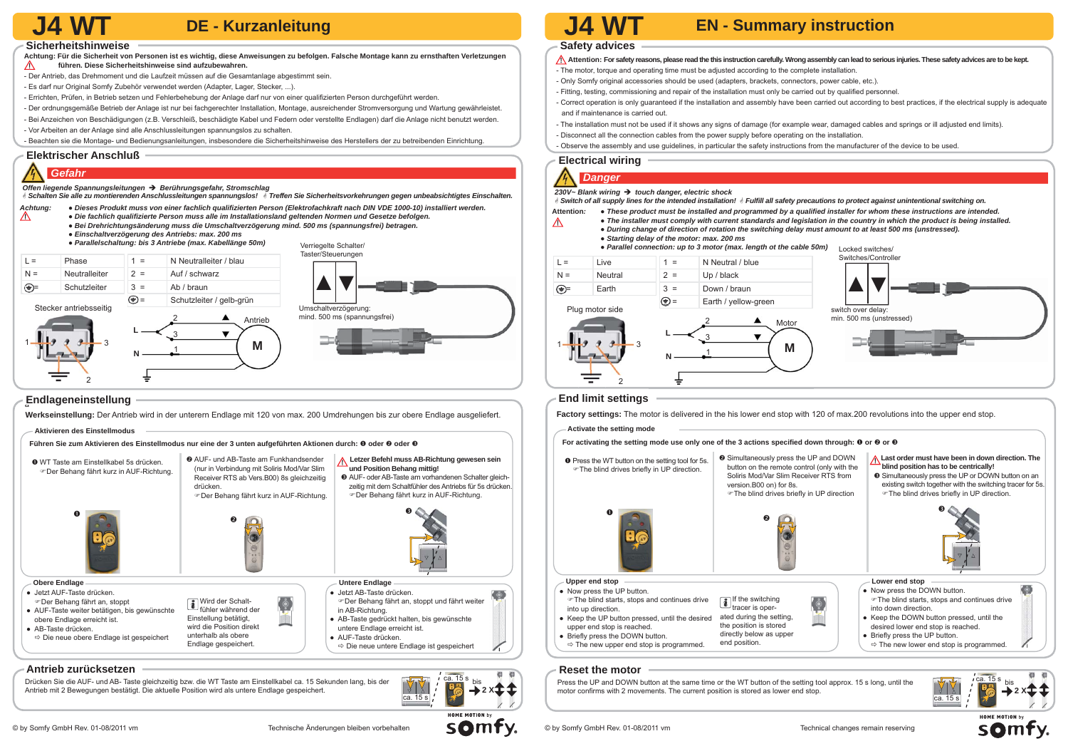- **Achtung: Für die Sicherheit von Personen ist es wichtig, diese Anweisungen zu befolgen. Falsche Montage kann zu ernsthaften Verletzungen führen. Diese Sicherheitshinweise sind aufzubewahren.**  $\wedge$
- Der Antrieb, das Drehmoment und die Laufzeit müssen auf die Gesamtanlage abgestimmt sein.
- Es darf nur Original Somfy Zubehör verwendet werden (Adapter, Lager, Stecker, ...).
- Errichten, Prüfen, in Betrieb setzen und Fehlerbehebung der Anlage darf nur von einer gualifizierten Person durchgeführt werden.
- Der ordnungsgemäße Betrieb der Anlage ist nur bei fachgerechter Installation, Montage, ausreichender Stromversorgung und Wartung gewährleistet.
- Bei Anzeichen von Beschädigungen (z.B. Verschleiß, beschädigte Kabel und Federn oder verstellte Endlagen) darf die Anlage nicht benutzt werden.
- Vor Arbeiten an der Anlage sind alle Anschlussleitungen spannungslos zu schalten.
- Beachten sie die Montage- und Bedienungsanleitungen, insbesondere die Sicherheitshinweise des Herstellers der zu betreibenden Einrichtung.**.**

#### **Elektrischer Anschluß**

- *Achtung: Dieses Produkt muss von einer fachlich qualifi zierten Person (Elektrofachkraft nach DIN VDE 1000-10) installiert werden.* 
	- *Die fachlich qualifi zierte Person muss alle im Installationsland geltenden Normen und Gesetze befolgen.*
	- *Bei Drehrichtungsänderung muss die Umschaltverzögerung mind. 500 ms (spannungsfrei) betragen.*
	- ● *Einschaltverzögerung des Antriebs: max. 200 ms*
- Attention: For safety reasons, please read the this instruction carefully. Wrong assembly can lead to serious injuries. These safety advices are to be kept. - The motor, torque and operating time must be adjusted according to the complete installation.
- 
- Only Somfy original accessories should be used (adapters, brackets, connectors, power cable, etc.).
- Fitting, testing, commissioning and repair of the installation must only be carried out by qualified personnel.
- Correct operation is only guaranteed if the installation and assembly have been carried out according to best practices, if the electrical supply is adequate and if maintenance is carried out.
- The installation must not be used if it shows any signs of damage (for example wear, damaged cables and springs or ill adjusted end limits). - Disconnect all the connection cables from the power supply before operating on the installation.
- 
- Observe the assembly and use guidelines, in particular the safety instructions from the manufacturer of the device to be used.**.**

#### *Gefahr*

 $\triangle$ 

*Offen liegende Spannungsleitungen Berührungsgefahr, Stromschlag*

*Schalten Sie alle zu montierenden Anschlussleitungen spannungslos! Treffen Sie Sicherheitsvorkehrungen gegen unbeabsichtigtes Einschalten.*



#### **Sicherheitshinweise**

## **DE - Kurzanleitung**

- 
- 

Drücken Sie die AUF- und AB- Taste gleichzeitig bzw. die WT Taste am Einstellkabel ca. 15 Sekunden lang, bis der **RAPA** Antrieb mit 2 Bewegungen bestätigt. Die aktuelle Position wird als untere Endlage gespeichert.

#### **Electrical wiring**



#### **Safety advices**

# **J4 WT J4 WT EN - Summary instruction**

### a  **Endlageneinstellung**

**Werkseinstellung:** Der Antrieb wird in der unterern Endlage mit 120 von max. 200 Umdrehungen bis zur obere Endlage ausgeliefert.

#### **Antrieb zurücksetzen**





#### **Reset the motor**

Press the UP and DOWN button at the same time or the WT button of the setting tool approx. 15 s long, until the motor confirms with 2 movements. The current position is stored as lower end stop.



**SOMFY** 



#### **Aktivieren des Einstellmodus**

Führen Sie zum Aktivieren des Einstellmodus nur eine der 3 unten aufgeführten Aktionen durch: <sup>●</sup> oder <sup>●</sup> oder <sup>●</sup>